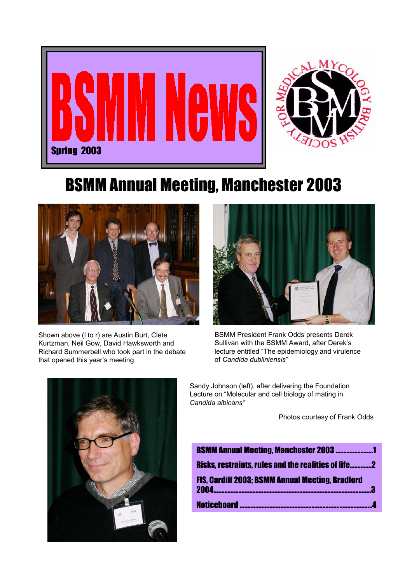



# BSMM Annual Meeting, Manchester 2003



Shown above (l to r) are Austin Burt, Clete Kurtzman, Neil Gow, David Hawksworth and Richard Summerbell who took part in the debate that opened this year's meeting



BSMM President Frank Odds presents Derek Sullivan with the BSMM Award, after Derek's lecture entitled "The epidemiology and virulence of *Candida dubliniensis*"



Sandy Johnson (left), after delivering the Foundation Lecture on "Molecular and cell biology of mating in *Candida albicans"*

Photos courtesy of Frank Odds

| <b>BSMM Annual Meeting, Manchester 2003 1</b>                                                 |  |
|-----------------------------------------------------------------------------------------------|--|
| <b>Risks, restraints, rules and the realities of life2</b>                                    |  |
| <b>FIS. Cardiff 2003: BSMM Annual Meeting, Bradford</b><br>2004<br>__________________________ |  |
|                                                                                               |  |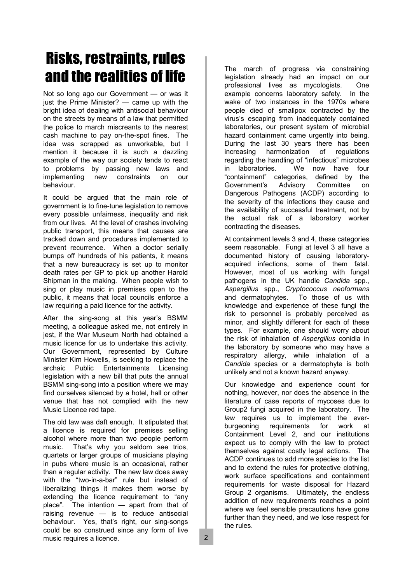# Risks, restraints, rules and the realities of life

Not so long ago our Government — or was it just the Prime Minister? — came up with the bright idea of dealing with antisocial behaviour on the streets by means of a law that permitted the police to march miscreants to the nearest cash machine to pay on-the-spot fines. The idea was scrapped as unworkable, but I mention it because it is such a dazzling example of the way our society tends to react to problems by passing new laws and implementing new constraints on our behaviour.

It could be argued that the main role of government is to fine-tune legislation to remove every possible unfairness, inequality and risk from our lives. At the level of crashes involving public transport, this means that causes are tracked down and procedures implemented to prevent recurrence. When a doctor serially bumps off hundreds of his patients, it means that a new bureaucracy is set up to monitor death rates per GP to pick up another Harold Shipman in the making. When people wish to sing or play music in premises open to the public, it means that local councils enforce a law requiring a paid licence for the activity.

After the sing-song at this year's BSMM meeting, a colleague asked me, not entirely in jest, if the War Museum North had obtained a music licence for us to undertake this activity. Our Government, represented by Culture Minister Kim Howells, is seeking to replace the archaic Public Entertainments Licensing legislation with a new bill that puts the annual BSMM sing-song into a position where we may find ourselves silenced by a hotel, hall or other venue that has not complied with the new Music Licence red tape.

The old law was daft enough. It stipulated that a licence is required for premises selling alcohol where more than two people perform music. That's why you seldom see trios, quartets or larger groups of musicians playing in pubs where music is an occasional, rather than a regular activity. The new law does away with the "two-in-a-bar" rule but instead of liberalizing things it makes them worse by extending the licence requirement to "any place". The intention — apart from that of raising revenue — is to reduce antisocial behaviour. Yes, that's right, our sing-songs could be so construed since any form of live music requires a licence.

The march of progress via constraining legislation already had an impact on our professional lives as mycologists. One example concerns laboratory safety. In the wake of two instances in the 1970s where people died of smallpox contracted by the virus's escaping from inadequately contained laboratories, our present system of microbial hazard containment came urgently into being. During the last 30 years there has been increasing harmonization of regulations regarding the handling of "infectious" microbes in laboratories. We now have four "containment" categories, defined by the Government's Advisory Committee on Dangerous Pathogens (ACDP) according to the severity of the infections they cause and the availability of successful treatment, not by the actual risk of a laboratory worker contracting the diseases.

At containment levels 3 and 4, these categories seem reasonable. Fungi at level 3 all have a documented history of causing laboratoryacquired infections, some of them fatal. However, most of us working with fungal pathogens in the UK handle *Candida* spp., *Aspergillus* spp., *Cryptococcus neoformans* and dermatophytes. To those of us with knowledge and experience of these fungi the risk to personnel is probably perceived as minor, and slightly different for each of these types. For example, one should worry about the risk of inhalation of *Aspergillus* conidia in the laboratory by someone who may have a respiratory allergy, while inhalation of a *Candida* species or a dermatophyte is both unlikely and not a known hazard anyway.

Our knowledge and experience count for nothing, however, nor does the absence in the literature of case reports of mycoses due to Group2 fungi acquired in the laboratory. The *law* requires us to implement the everburgeoning requirements for work at Containment Level 2, and our institutions expect us to comply with the law to protect themselves against costly legal actions. The ACDP continues to add more species to the list and to extend the rules for protective clothing, work surface specifications and containment requirements for waste disposal for Hazard Group 2 organisms. Ultimately, the endless addition of new requirements reaches a point where we feel sensible precautions have gone further than they need, and we lose respect for the rules.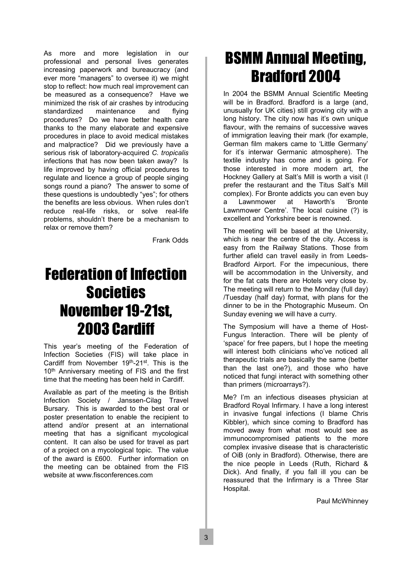As more and more legislation in our professional and personal lives generates increasing paperwork and bureaucracy (and ever more "managers" to oversee it) we might stop to reflect: how much real improvement can be measured as a consequence? Have we minimized the risk of air crashes by introducing standardized maintenance and flying procedures? Do we have better health care thanks to the many elaborate and expensive procedures in place to avoid medical mistakes and malpractice? Did we previously have a serious risk of laboratory-acquired *C. tropicalis* infections that has now been taken away? Is life improved by having official procedures to regulate and licence a group of people singing songs round a piano? The answer to some of these questions is undoubtedly "yes"; for others the benefits are less obvious. When rules don't reduce real-life risks, or solve real-life problems, shouldn't there be a mechanism to relax or remove them?

Frank Odds

## Federation of Infection **Societies** November 19-21st, 2003 Cardiff

This year's meeting of the Federation of Infection Societies (FIS) will take place in Cardiff from November 19th-21st. This is the 10<sup>th</sup> Anniversary meeting of FIS and the first time that the meeting has been held in Cardiff.

Available as part of the meeting is the British Infection Society / Janssen-Cilag Travel Bursary. This is awarded to the best oral or poster presentation to enable the recipient to attend and/or present at an international meeting that has a significant mycological content. It can also be used for travel as part of a project on a mycological topic. The value of the award is £600. Further information on the meeting can be obtained from the FIS website at www.fisconferences.com

## BSMM Annual Meeting, Bradford 2004

In 2004 the BSMM Annual Scientific Meeting will be in Bradford. Bradford is a large (and, unusually for UK cities) still growing city with a long history. The city now has it's own unique flavour, with the remains of successive waves of immigration leaving their mark (for example, German film makers came to 'Little Germany' for it's interwar Germanic atmosphere). The textile industry has come and is going. For those interested in more modern art, the Hockney Gallery at Salt's Mill is worth a visit (I prefer the restaurant and the Titus Salt's Mill complex). For Bronte addicts you can even buy a Lawnmower at Haworth's 'Bronte Lawnmower Centre'. The local cuisine (?) is excellent and Yorkshire beer is renowned.

The meeting will be based at the University, which is near the centre of the city. Access is easy from the Railway Stations. Those from further afield can travel easily in from Leeds-Bradford Airport. For the impecunious, there will be accommodation in the University, and for the fat cats there are Hotels very close by. The meeting will return to the Monday (full day) /Tuesday (half day) format, with plans for the dinner to be in the Photographic Museum. On Sunday evening we will have a curry.

The Symposium will have a theme of Host-Fungus Interaction. There will be plenty of 'space' for free papers, but I hope the meeting will interest both clinicians who've noticed all therapeutic trials are basically the same (better than the last one?), and those who have noticed that fungi interact with something other than primers (microarrays?).

Me? I'm an infectious diseases physician at Bradford Royal Infirmary. I have a long interest in invasive fungal infections (I blame Chris Kibbler), which since coming to Bradford has moved away from what most would see as immunocompromised patients to the more complex invasive disease that is characteristic of OiB (only in Bradford). Otherwise, there are the nice people in Leeds (Ruth, Richard & Dick). And finally, if you fall ill you can be reassured that the Infirmary is a Three Star Hospital.

Paul McWhinney